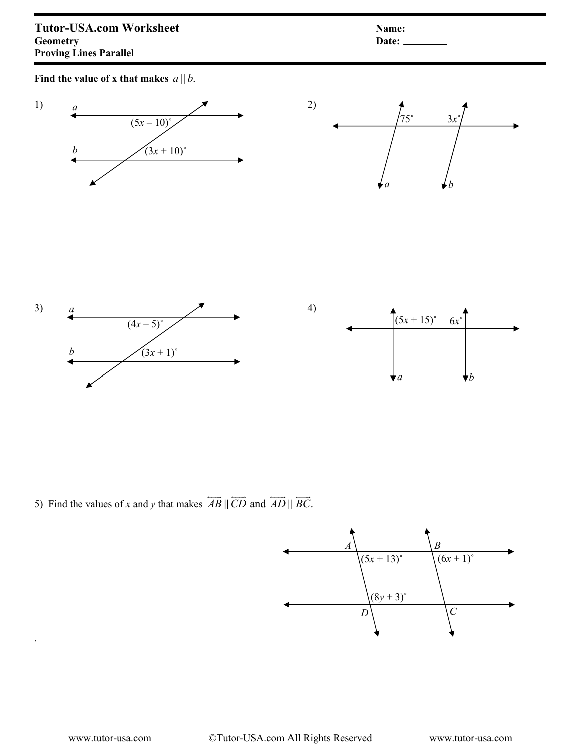Find the value of x that makes  $a \parallel b$ .



5) Find the values of x and y that makes  $AB \parallel CD$  and  $AD \parallel BC$ . - - - -  $\parallel$  CD and AD  $\parallel$  BC.



.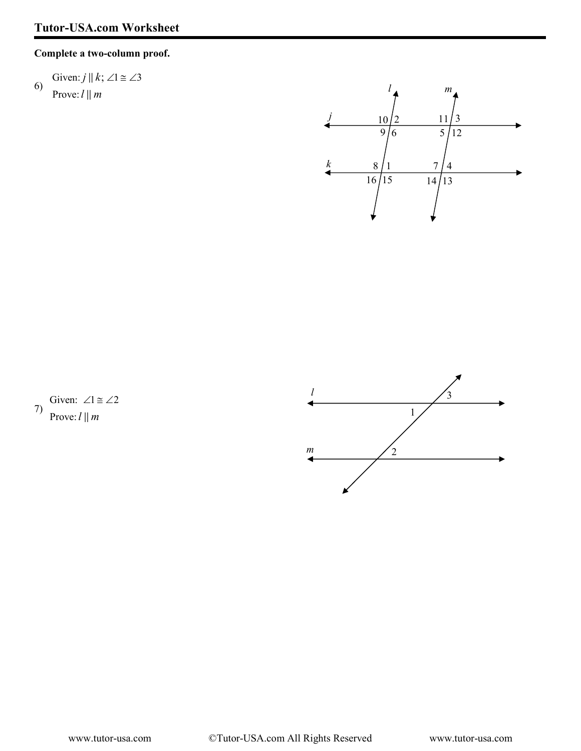## Complete a two-column proof.

## 6) Given:  $j \parallel k$ ;  $\angle 1 \cong \angle 3$ Prove:  $l \parallel m$



7) Given:  $\angle 1 \cong \angle 2$ Prove:  $l \parallel m$